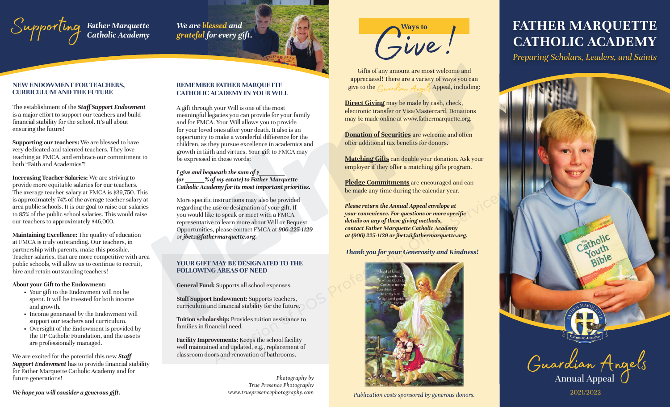

*We are blessed and grateful for every gift.*

### **NEW ENDOWMENT FOR TEACHERS, CURRICULUM AND THE FUTURE**

The establishment of the *Staff Support Endowment*  is a major effort to support our teachers and build financial stability for the school. It's all about ensuring the future!

**Supporting our teachers:** We are blessed to have very dedicated and talented teachers. They love teaching at FMCA, and embrace our commitment to both "Faith and Academics"!

**Increasing Teacher Salaries:** We are striving to provide more equitable salaries for our teachers. The average teacher salary at FMCA is \$39,750. This is approximately 74% of the average teacher salary at area public schools. It is our goal to raise our salaries to 85% of the public school salaries. This would raise our teachers to approximately \$46,000.

**Maintaining Excellence:** The quality of education at FMCA is truly outstanding. Our teachers, in partnership with parents, make this possible. Teacher salaries, that are more competitive with area public schools, will allow us to continue to recruit, hire and retain outstanding teachers!

### **About your Gift to the Endowment:**

- Your gift to the Endowment will not be spent. It will be invested for both income and growth.
- Income generated by the Endowment will support our teachers and curriculum.
- Oversight of the Endowment is provided by the UP Catholic Foundation, and the assets are professionally managed.

We are excited for the potential this new *Staff*  **Support Endowment** has to provide financial stability for Father Marquette Catholic Academy and for future generations!

*We hope you will consider a generous gift.*

### **REMEMBER FATHER MARQUETTE CATHOLIC ACADEMY IN YOUR WILL**

A gift through your Will is one of the most meaningful legacies you can provide for your family and for FMCA. Your Will allows you to provide for your loved ones after your death. It also is an opportunity to make a wonderful difference for the children, as they pursue excellence in academics and growth in faith and virtues. Your gift to FMCA may be expressed in these words:

### *I* give and bequeath the sum of  $\phi$ *(or \_\_\_\_\_\_% of my estate) to Father Marquette Catholic Academy for its most important priorities.*

More specific instructions may also be provided regarding the use or designation of your gift. If you would like to speak or meet with a FMCA representative to learn more about Will or Bequest Opportunities, please contact FMCA at *906-225-1129* or *jbetz@fathermarquette.org*.

### **YOUR GIFT MAY BE DESIGNATED TO THE FOLLOWING AREAS OF NEED**

**General Fund:** Supports all school expenses.

**Staff Support Endowment:** Supports teachers, curriculum and financial stability for the future.

**Tuition scholarship:** Provides tuition assistance to families in financial need.

**Facility Improvements:** Keeps the school facility well maintained and updated, e.g., replacement of classroom doors and renovation of bathrooms.

> *Photography by True Presence Photography www.truepresencephotography.com*



Gifts of any amount are most welcome and appreciated! There are a variety of ways you can<br>give to the  $G_{\mu\nu}$  and  $G_{\mu\nu}$  and  $G_{\mu\nu}$  and  $G_{\mu\nu}$  and  $G_{\mu\nu}$  are  $G_{\mu\nu}$ . give to the  $G_{\mu\nu}$  and  $G_{\mu\nu}$ 

**Direct Giving** may be made by cash, check, electronic transfer or Visa/Mastercard. Donations may be made online at www.fathermarquette.org.

**Donation of Securities** are welcome and often offer additional tax benefits for donors.

**Matching Gifts** can double your donation. Ask your employer if they offer a matching gifts program.

**Pledge Commitments** are encouraged and can be made any time during the calendar year.

*Please return the Annual Appeal envelope at your convenience. For questions or more specific details on any of these giving methods, contact Father Marquette Catholic Academy at (906) 225-1129 or jbetz@fathermarquette.org.*

### *Thank you for your Generosity and Kindness!*



2021/2022 *Publication costs sponsored by generous donors.*

## **FATHER MARQUETTE CATHOLIC ACADEMY**

*Preparing Scholars, Leaders, and Saints*



 $2021/2022$